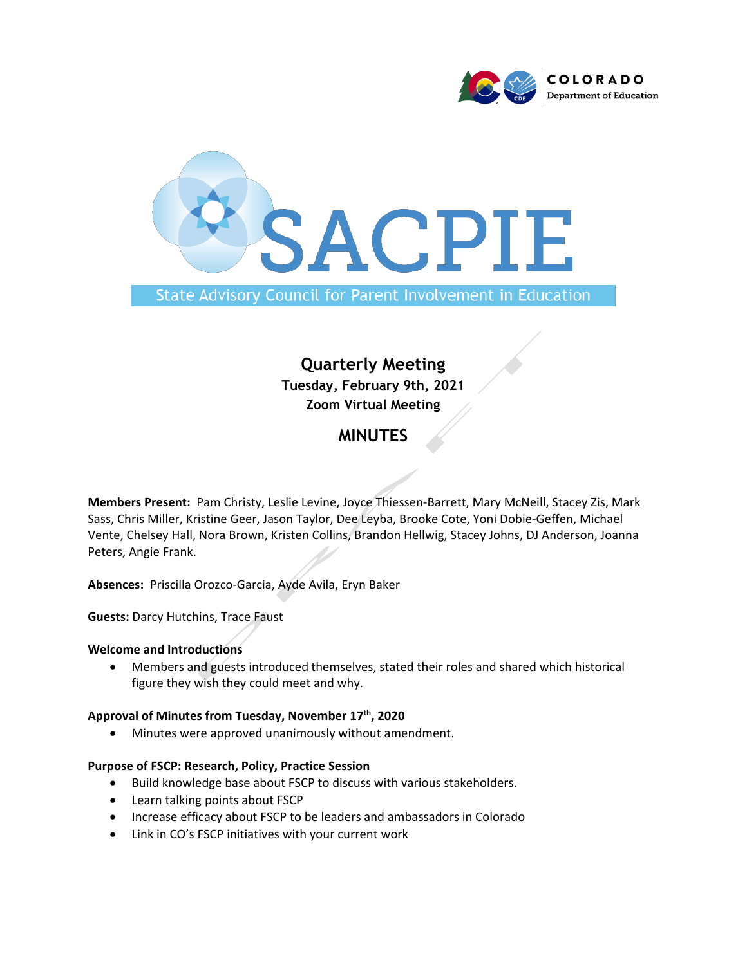



# **Quarterly Meeting Tuesday, February 9th, 2021 Zoom Virtual Meeting**

# **MINUTES**

**Members Present:** Pam Christy, Leslie Levine, Joyce Thiessen-Barrett, Mary McNeill, Stacey Zis, Mark Sass, Chris Miller, Kristine Geer, Jason Taylor, Dee Leyba, Brooke Cote, Yoni Dobie-Geffen, Michael Vente, Chelsey Hall, Nora Brown, Kristen Collins, Brandon Hellwig, Stacey Johns, DJ Anderson, Joanna Peters, Angie Frank.

**Absences:** Priscilla Orozco-Garcia, Ayde Avila, Eryn Baker

**Guests:** Darcy Hutchins, Trace Faust

## **Welcome and Introductions**

• Members and guests introduced themselves, stated their roles and shared which historical figure they wish they could meet and why.

## **Approval of Minutes from Tuesday, November 17 th, 2020**

• Minutes were approved unanimously without amendment.

## **Purpose of FSCP: Research, Policy, Practice Session**

- Build knowledge base about FSCP to discuss with various stakeholders.
- Learn talking points about FSCP
- Increase efficacy about FSCP to be leaders and ambassadors in Colorado
- Link in CO's FSCP initiatives with your current work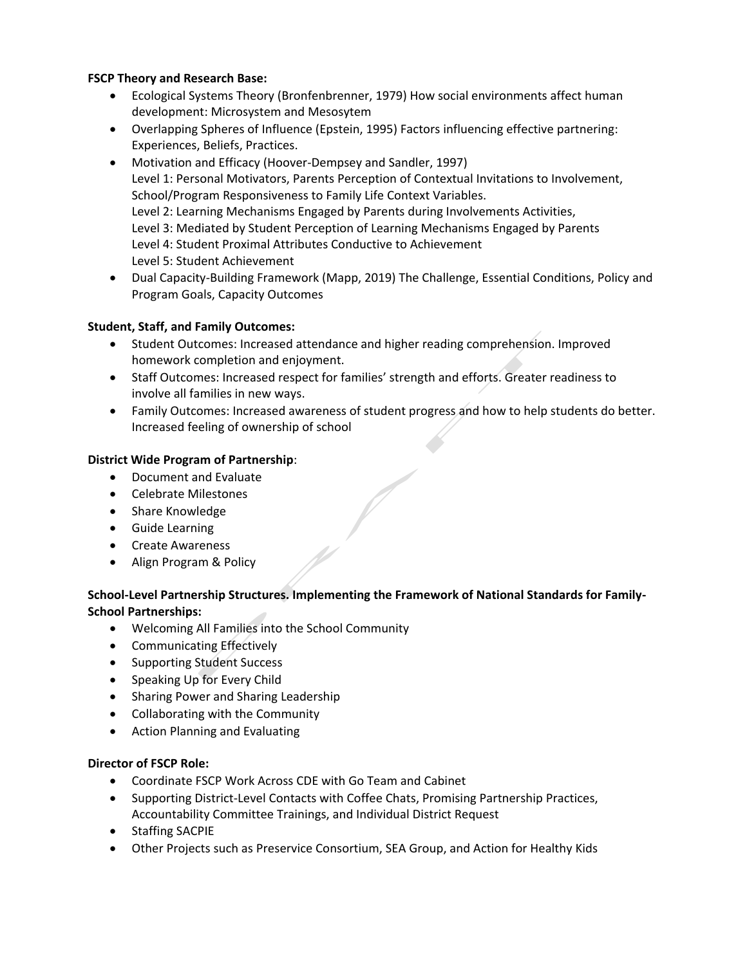# **FSCP Theory and Research Base:**

- Ecological Systems Theory (Bronfenbrenner, 1979) How social environments affect human development: Microsystem and Mesosytem
- Overlapping Spheres of Influence (Epstein, 1995) Factors influencing effective partnering: Experiences, Beliefs, Practices.
- Motivation and Efficacy (Hoover-Dempsey and Sandler, 1997) Level 1: Personal Motivators, Parents Perception of Contextual Invitations to Involvement, School/Program Responsiveness to Family Life Context Variables. Level 2: Learning Mechanisms Engaged by Parents during Involvements Activities, Level 3: Mediated by Student Perception of Learning Mechanisms Engaged by Parents Level 4: Student Proximal Attributes Conductive to Achievement Level 5: Student Achievement
- Dual Capacity-Building Framework (Mapp, 2019) The Challenge, Essential Conditions, Policy and Program Goals, Capacity Outcomes

# **Student, Staff, and Family Outcomes:**

- Student Outcomes: Increased attendance and higher reading comprehension. Improved homework completion and enjoyment.
- Staff Outcomes: Increased respect for families' strength and efforts. Greater readiness to involve all families in new ways.
- Family Outcomes: Increased awareness of student progress and how to help students do better. Increased feeling of ownership of school

# **District Wide Program of Partnership**:

- Document and Evaluate
- Celebrate Milestones
- Share Knowledge
- Guide Learning
- Create Awareness
- Align Program & Policy

# **School-Level Partnership Structures. Implementing the Framework of National Standards for Family-School Partnerships:**

- Welcoming All Families into the School Community
- Communicating Effectively
- Supporting Student Success
- Speaking Up for Every Child
- Sharing Power and Sharing Leadership
- Collaborating with the Community
- Action Planning and Evaluating

## **Director of FSCP Role:**

- Coordinate FSCP Work Across CDE with Go Team and Cabinet
- Supporting District-Level Contacts with Coffee Chats, Promising Partnership Practices, Accountability Committee Trainings, and Individual District Request
- Staffing SACPIE
- Other Projects such as Preservice Consortium, SEA Group, and Action for Healthy Kids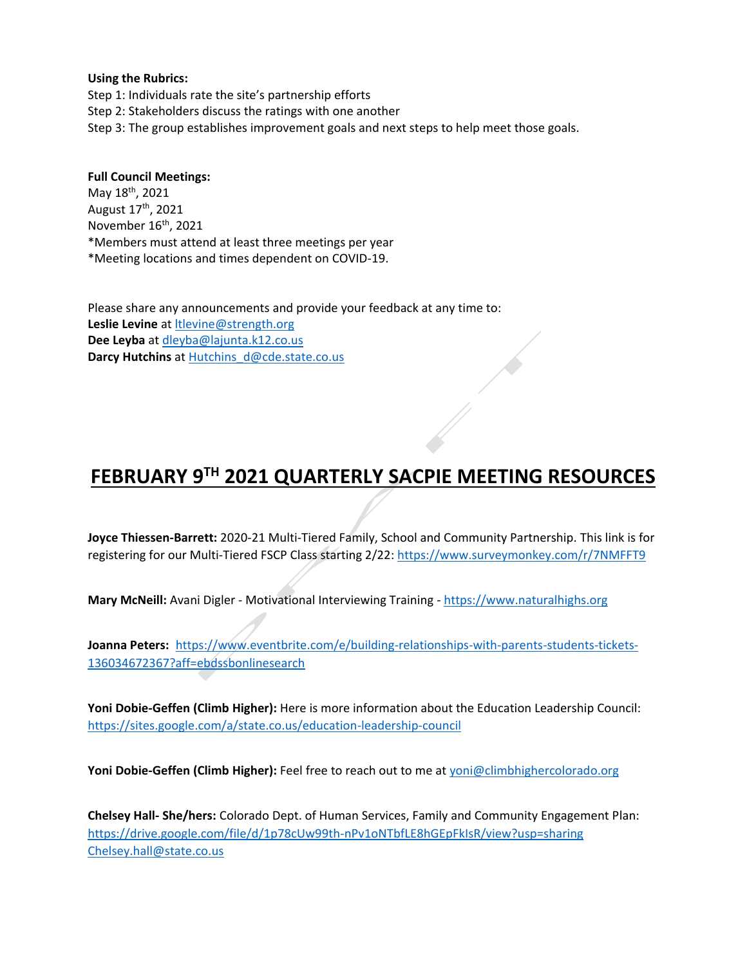#### **Using the Rubrics:**

Step 1: Individuals rate the site's partnership efforts Step 2: Stakeholders discuss the ratings with one another Step 3: The group establishes improvement goals and next steps to help meet those goals.

## **Full Council Meetings:**

May 18<sup>th</sup>, 2021 August 17th, 2021 November 16<sup>th</sup>, 2021 \*Members must attend at least three meetings per year \*Meeting locations and times dependent on COVID-19.

Please share any announcements and provide your feedback at any time to: **Leslie Levine** at [ltlevine@strength.org](mailto:ltlevine@strength.org) **Dee Leyba** at [dleyba@lajunta.k12.co.us](mailto:dleyba@lajunta.k12.co.us) **Darcy Hutchins** a[t Hutchins\\_d@cde.state.co.us](mailto:Hutchins_d@cde.state.co.us)

# **FEBRUARY 9TH 2021 QUARTERLY SACPIE MEETING RESOURCES**

**Joyce Thiessen-Barrett:** 2020-21 Multi-Tiered Family, School and Community Partnership. This link is for registering for our Multi-Tiered FSCP Class starting 2/22:<https://www.surveymonkey.com/r/7NMFFT9>

**Mary McNeill:** Avani Digler - Motivational Interviewing Training - [https://www.naturalhighs.org](https://www.naturalhighs.org/)

**Joanna Peters:** [https://www.eventbrite.com/e/building-relationships-with-parents-students-tickets-](https://www.eventbrite.com/e/building-relationships-with-parents-students-tickets-136034672367?aff=ebdssbonlinesearch)[136034672367?aff=ebdssbonlinesearch](https://www.eventbrite.com/e/building-relationships-with-parents-students-tickets-136034672367?aff=ebdssbonlinesearch)

**Yoni Dobie-Geffen (Climb Higher):** Here is more information about the Education Leadership Council: <https://sites.google.com/a/state.co.us/education-leadership-council>

**Yoni Dobie-Geffen (Climb Higher):** Feel free to reach out to me a[t yoni@climbhighercolorado.org](mailto:yoni@climbhighercolorado.org)

**Chelsey Hall- She/hers:** Colorado Dept. of Human Services, Family and Community Engagement Plan: <https://drive.google.com/file/d/1p78cUw99th-nPv1oNTbfLE8hGEpFkIsR/view?usp=sharing> [Chelsey.hall@state.co.us](mailto:Chelsey.hall@state.co.us)